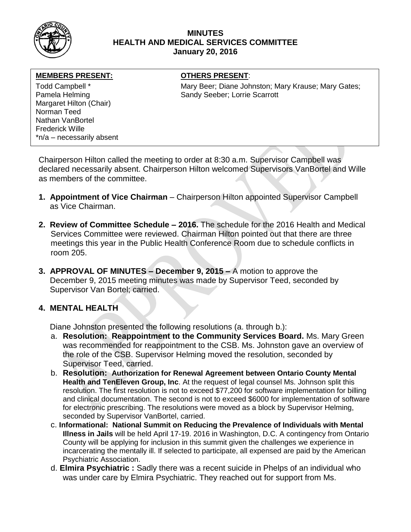

### **MINUTES HEALTH AND MEDICAL SERVICES COMMITTEE January 20, 2016**

#### **MEMBERS PRESENT:**

Margaret Hilton (Chair) Norman Teed Nathan VanBortel Frederick Wille \*n/a – necessarily absent

### **OTHERS PRESENT:**

Todd Campbell \* Todd Campbell \* Mary Beer; Diane Johnston; Mary Krause; Mary Gates; Pamela Helming **Sandy Seeber**; Lorrie Scarrott

Chairperson Hilton called the meeting to order at 8:30 a.m. Supervisor Campbell was declared necessarily absent. Chairperson Hilton welcomed Supervisors VanBortel and Wille as members of the committee.

- **1. Appointment of Vice Chairman** Chairperson Hilton appointed Supervisor Campbell as Vice Chairman.
- **2. Review of Committee Schedule – 2016.** The schedule for the 2016 Health and Medical Services Committee were reviewed. Chairman Hilton pointed out that there are three meetings this year in the Public Health Conference Room due to schedule conflicts in room 205.
- **3. APPROVAL OF MINUTES – December 9, 2015 –** A motion to approve the December 9, 2015 meeting minutes was made by Supervisor Teed, seconded by Supervisor Van Bortel; carried.

## **4. MENTAL HEALTH**

Diane Johnston presented the following resolutions (a. through b.):

- a. **Resolution: Reappointment to the Community Services Board.** Ms. Mary Green was recommended for reappointment to the CSB. Ms. Johnston gave an overview of the role of the CSB. Supervisor Helming moved the resolution, seconded by Supervisor Teed, carried.
- b. **Resolution: Authorization for Renewal Agreement between Ontario County Mental Health and TenEleven Group, Inc**. At the request of legal counsel Ms. Johnson split this resolution. The first resolution is not to exceed \$77,200 for software implementation for billing and clinical documentation. The second is not to exceed \$6000 for implementation of software for electronic prescribing. The resolutions were moved as a block by Supervisor Helming, seconded by Supervisor VanBortel, carried.
- c. **Informational: National Summit on Reducing the Prevalence of Individuals with Mental Illness in Jails** will be held April 17-19. 2016 in Washington, D.C. A contingency from Ontario County will be applying for inclusion in this summit given the challenges we experience in incarcerating the mentally ill. If selected to participate, all expensed are paid by the American Psychiatric Association.
- d. **Elmira Psychiatric :** Sadly there was a recent suicide in Phelps of an individual who was under care by Elmira Psychiatric. They reached out for support from Ms.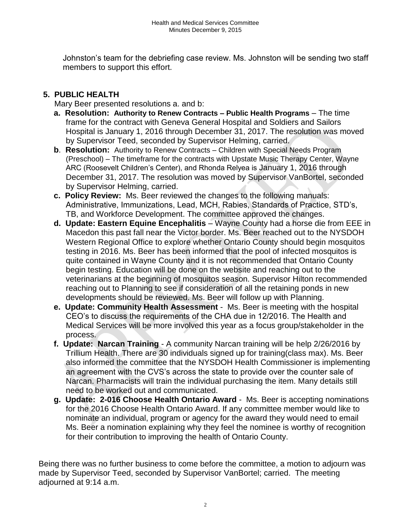Johnston's team for the debriefing case review. Ms. Johnston will be sending two staff members to support this effort.

# **5. PUBLIC HEALTH**

Mary Beer presented resolutions a. and b:

- **a. Resolution: Authority to Renew Contracts – Public Health Programs** The time frame for the contract with Geneva General Hospital and Soldiers and Sailors Hospital is January 1, 2016 through December 31, 2017. The resolution was moved by Supervisor Teed, seconded by Supervisor Helming, carried.
- **b**. **Resolution:** Authority to Renew Contracts Children with Special Needs Program (Preschool) – The timeframe for the contracts with Upstate Music Therapy Center, Wayne ARC (Roosevelt Children's Center), and Rhonda Relyea is January 1, 2016 through December 31, 2017. The resolution was moved by Supervisor VanBortel, seconded by Supervisor Helming, carried.
- **c. Policy Review:** Ms. Beer reviewed the changes to the following manuals: Administrative, Immunizations, Lead, MCH, Rabies, Standards of Practice, STD's, TB, and Workforce Development. The committee approved the changes.
- **d. Update: Eastern Equine Encephalitis** Wayne County had a horse die from EEE in Macedon this past fall near the Victor border. Ms. Beer reached out to the NYSDOH Western Regional Office to explore whether Ontario County should begin mosquitos testing in 2016. Ms. Beer has been informed that the pool of infected mosquitos is quite contained in Wayne County and it is not recommended that Ontario County begin testing. Education will be done on the website and reaching out to the veterinarians at the beginning of mosquitos season. Supervisor Hilton recommended reaching out to Planning to see if consideration of all the retaining ponds in new developments should be reviewed. Ms. Beer will follow up with Planning.
- **e. Update: Community Health Assessment** Ms. Beer is meeting with the hospital CEO's to discuss the requirements of the CHA due in 12/2016. The Health and Medical Services will be more involved this year as a focus group/stakeholder in the process.
- **f. Update: Narcan Training** A community Narcan training will be help 2/26/2016 by Trillium Health. There are 30 individuals signed up for training(class max). Ms. Beer also informed the committee that the NYSDOH Health Commissioner is implementing an agreement with the CVS's across the state to provide over the counter sale of Narcan. Pharmacists will train the individual purchasing the item. Many details still need to be worked out and communicated.
- **g. Update: 2-016 Choose Health Ontario Award** Ms. Beer is accepting nominations for the 2016 Choose Health Ontario Award. If any committee member would like to nominate an individual, program or agency for the award they would need to email Ms. Beer a nomination explaining why they feel the nominee is worthy of recognition for their contribution to improving the health of Ontario County.

Being there was no further business to come before the committee, a motion to adjourn was made by Supervisor Teed, seconded by Supervisor VanBortel; carried. The meeting adjourned at 9:14 a.m.